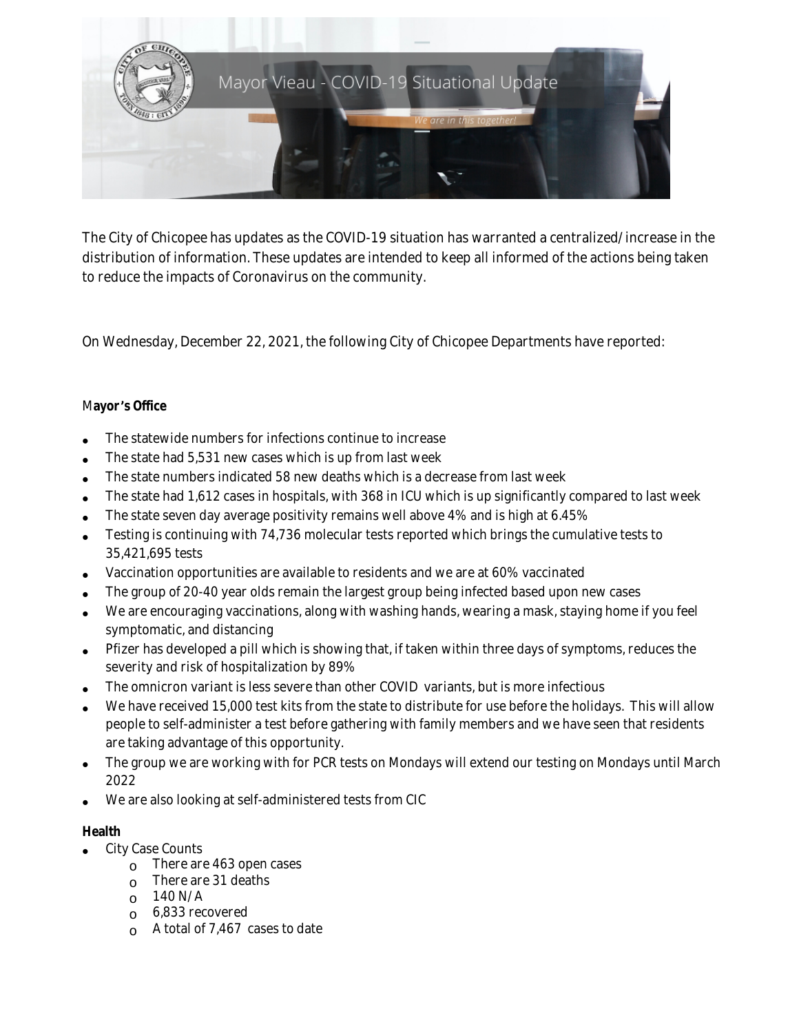

The City of Chicopee has updates as the COVID-19 situation has warranted a centralized/increase in the distribution of information. These updates are intended to keep all informed of the actions being taken to reduce the impacts of Coronavirus on the community.

On Wednesday, December 22, 2021, the following City of Chicopee Departments have reported:

## M**ayor** '**s Office**

- The statewide numbers for infections continue to increase
- The state had 5,531 new cases which is up from last week
- The state numbers indicated 58 new deaths which is a decrease from last week
- The state had 1,612 cases in hospitals, with 368 in ICU which is up significantly compared to last week
- The state seven day average positivity remains well above 4% and is high at 6.45%
- Testing is continuing with 74,736 molecular tests reported which brings the cumulative tests to 35,421,695 tests
- Vaccination opportunities are available to residents and we are at 60% vaccinated
- The group of 20-40 year olds remain the largest group being infected based upon new cases
- We are encouraging vaccinations, along with washing hands, wearing a mask, staying home if you feel symptomatic, and distancing
- Pfizer has developed a pill which is showing that, if taken within three days of symptoms, reduces the severity and risk of hospitalization by 89%
- The omnicron variant is less severe than other COVID variants, but is more infectious
- We have received 15,000 test kits from the state to distribute for use before the holidays. This will allow people to self-administer a test before gathering with family members and we have seen that residents are taking advantage of this opportunity.
- The group we are working with for PCR tests on Mondays will extend our testing on Mondays until March 2022
- We are also looking at self-administered tests from CIC

## **Health**

- City Case Counts
	- $\circ$  There are 463 open cases
	- $\circ$  There are 31 deaths
	- $O$  140 N/A
	- o 6,833 recovered
	- A total of 7,467 cases to date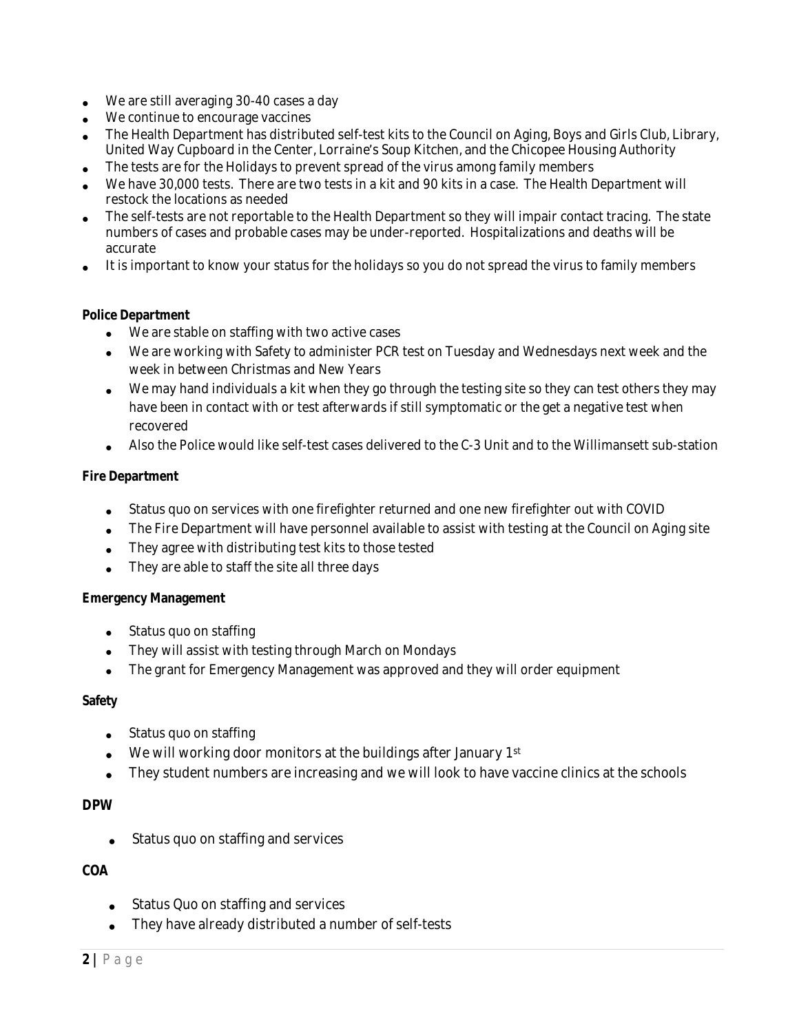- We are still averaging 30-40 cases a day
- We continue to encourage vaccines
- The Health Department has distributed self-test kits to the Council on Aging, Boys and Girls Club, Library, United Way Cupboard in the Center, Lorraine's Soup Kitchen, and the Chicopee Housing Authority
- The tests are for the Holidays to prevent spread of the virus among family members
- We have 30,000 tests. There are two tests in a kit and 90 kits in a case. The Health Department will restock the locations as needed
- The self-tests are not reportable to the Health Department so they will impair contact tracing. The state numbers of cases and probable cases may be under-reported. Hospitalizations and deaths will be accurate
- It is important to know your status for the holidays so you do not spread the virus to family members

#### **Police Department**

- We are stable on staffing with two active cases
- We are working with Safety to administer PCR test on Tuesday and Wednesdays next week and the week in between Christmas and New Years
- We may hand individuals a kit when they go through the testing site so they can test others they may have been in contact with or test afterwards if still symptomatic or the get a negative test when recovered
- Also the Police would like self-test cases delivered to the C-3 Unit and to the Willimansett sub-station

#### **Fire Department**

- Status quo on services with one firefighter returned and one new firefighter out with COVID
- The Fire Department will have personnel available to assist with testing at the Council on Aging site
- They agree with distributing test kits to those tested
- They are able to staff the site all three days

#### **Emergency Management**

- Status quo on staffing
- They will assist with testing through March on Mondays
- The grant for Emergency Management was approved and they will order equipment

#### **Safety**

- Status quo on staffing
- We will working door monitors at the buildings after January 1st
- They student numbers are increasing and we will look to have vaccine clinics at the schools

#### **DPW**

• Status quo on staffing and services

## **COA**

- Status Quo on staffing and services
- They have already distributed a number of self-tests